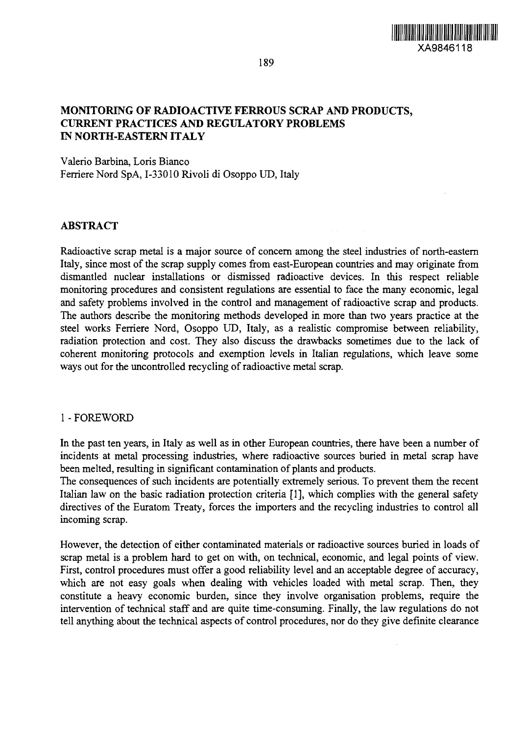

189

## **MONITORING OF RADIOACTIVE FERROUS SCRAP AND PRODUCTS, CURRENT PRACTICES AND REGULATORY PROBLEMS IN NORTH-EASTERN ITALY**

Valerio Barbina, Loris Bianco Ferriere Nord SpA, I-33010 Rivoli di Osoppo UD, Italy

## **ABSTRACT**

Radioactive scrap metal is a major source of concern among the steel industries of north-eastern Italy, since most of the scrap supply comes from east-European countries and may originate from dismantled nuclear installations or dismissed radioactive devices. In this respect reliable monitoring procedures and consistent regulations are essential to face the many economic, legal and safety problems involved in the control and management of radioactive scrap and products. The authors describe the monitoring methods developed in more than two years practice at the steel works Ferriere Nord, Osoppo UD, Italy, as a realistic compromise between reliability, radiation protection and cost. They also discuss the drawbacks sometimes due to the lack of coherent monitoring protocols and exemption levels in Italian regulations, which leave some ways out for the uncontrolled recycling of radioactive metal scrap.

## 1 - FOREWORD

In the past ten years, in Italy as well as in other European countries, there have been a number of incidents at metal processing industries, where radioactive sources buried in metal scrap have been melted, resulting in significant contamination of plants and products.

The consequences of such incidents are potentially extremely serious. To prevent them the recent Italian law on the basic radiation protection criteria [1], which complies with the general safety directives of the Euratom Treaty, forces the importers and the recycling industries to control all incoming scrap.

However, the detection of either contaminated materials or radioactive sources buried in loads of scrap metal is a problem hard to get on with, on technical, economic, and legal points of view. First, control procedures must offer a good reliability level and an acceptable degree of accuracy, which are not easy goals when dealing with vehicles loaded with metal scrap. Then, they constitute a heavy economic burden, since they involve organisation problems, require the intervention of technical staff and are quite time-consuming. Finally, the law regulations do not tell anything about the technical aspects of control procedures, nor do they give definite clearance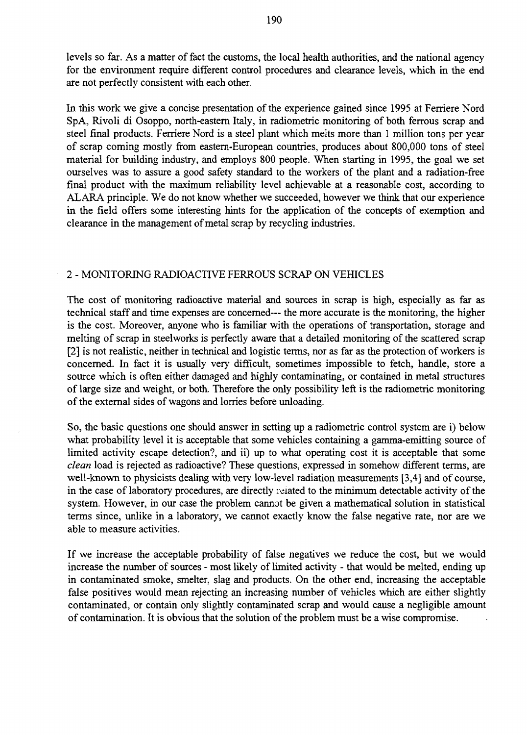levels so far. As a matter of fact the customs, the local health authorities, and the national agency for the environment require different control procedures and clearance levels, which in the end are not perfectly consistent with each other.

In this work we give a concise presentation of the experience gained since 1995 at Ferriere Nord SpA, Rivoli di Osoppo, north-eastern Italy, in radiometric monitoring of both ferrous scrap and steel final products. Ferriere Nord is a steel plant which melts more than 1 million tons per year of scrap coming mostly from eastern-European countries, produces about 800,000 tons of steel material for building industry, and employs 800 people. When starting in 1995, the goal we set ourselves was to assure a good safety standard to the workers of the plant and a radiation-free final product with the maximum reliability level achievable at a reasonable cost, according to ALARA principle. We do not know whether we succeeded, however we think that our experience in the field offers some interesting hints for the application of the concepts of exemption and clearance in the management of metal scrap by recycling industries.

## 2 - MONITORING RADIOACTIVE FERROUS SCRAP ON VEHICLES

The cost of monitoring radioactive material and sources in scrap is high, especially as far as technical staff and time expenses are concerned— the more accurate is the monitoring, the higher is the cost. Moreover, anyone who is familiar with the operations of transportation, storage and melting of scrap in steelworks is perfectly aware that a detailed monitoring of the scattered scrap [2] is not realistic, neither in technical and logistic terms, nor as far as the protection of workers is concerned. In fact it is usually very difficult, sometimes impossible to fetch, handle, store a source which is often either damaged and highly contaminating, or contained in metal structures of large size and weight, or both. Therefore the only possibility left is the radiometric monitoring of the external sides of wagons and lorries before unloading.

So, the basic questions one should answer in setting up a radiometric control system are i) below what probability level it is acceptable that some vehicles containing a gamma-emitting source of limited activity escape detection?, and ii) up to what operating cost it is acceptable that some *clean* load is rejected as radioactive? These questions, expressed in somehow different terms, are well-known to physicists dealing with very low-level radiation measurements [3,4] and of course, in the case of laboratory procedures, are directly related to the minimum detectable activity of the system. However, in our case the problem cannot be given a mathematical solution in statistical terms since, unlike in a laboratory, we cannot exactly know the false negative rate, nor are we able to measure activities.

If we increase the acceptable probability of false negatives we reduce the cost, but we would increase the number of sources - most likely of limited activity - that would be melted, ending up in contaminated smoke, smelter, slag and products. On the other end, increasing the acceptable false positives would mean rejecting an increasing number of vehicles which are either slightly contaminated, or contain only slightly contaminated scrap and would cause a negligible amount of contamination. It is obvious that the solution of the problem must be a wise compromise.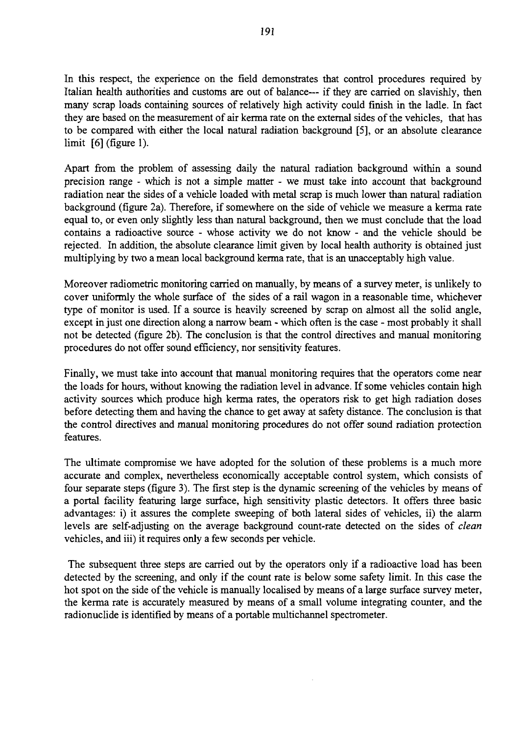In this respect, the experience on the field demonstrates that control procedures required by Italian health authorities and customs are out of balance— if they are carried on slavishly, then many scrap loads containing sources of relatively high activity could finish in the ladle. In fact they are based on the measurement of air kerma rate on the external sides of the vehicles, that has to be compared with either the local natural radiation background [5], or an absolute clearance limit [6] (figure 1).

Apart from the problem of assessing daily the natural radiation background within a sound precision range - which is not a simple matter - we must take into account that background radiation near the sides of a vehicle loaded with metal scrap is much lower than natural radiation background (figure 2a). Therefore, if somewhere on the side of vehicle we measure a kerma rate equal to, or even only slightly less than natural background, then we must conclude that the load contains a radioactive source - whose activity we do not know - and the vehicle should be rejected. In addition, the absolute clearance limit given by local health authority is obtained just multiplying by two a mean local background kerma rate, that is an unacceptably high value.

Moreover radiometric monitoring carried on manually, by means of a survey meter, is unlikely to cover uniformly the whole surface of the sides of a rail wagon in a reasonable time, whichever type of monitor is used. If a source is heavily screened by scrap on almost all the solid angle, except in just one direction along a narrow beam - which often is the case - most probably it shall not be detected (figure 2b). The conclusion is that the control directives and manual monitoring procedures do not offer sound efficiency, nor sensitivity features.

Finally, we must take into account that manual monitoring requires that the operators come near the loads for hours, without knowing the radiation level in advance. If some vehicles contain high activity sources which produce high kerma rates, the operators risk to get high radiation doses before detecting them and having the chance to get away at safety distance. The conclusion is that the control directives and manual monitoring procedures do not offer sound radiation protection features.

The ultimate compromise we have adopted for the solution of these problems is a much more accurate and complex, nevertheless economically acceptable control system, which consists of four separate steps (figure 3). The first step is the dynamic screening of the vehicles by means of a portal facility featuring large surface, high sensitivity plastic detectors. It offers three basic advantages: i) it assures the complete sweeping of both lateral sides of vehicles, ii) the alarm levels are self-adjusting on the average background count-rate detected on the sides of *clean* vehicles, and iii) it requires only a few seconds per vehicle.

The subsequent three steps are carried out by the operators only if a radioactive load has been detected by the screening, and only if the count rate *is* below some safety limit. In this case the hot spot on the side of the vehicle is manually localised by means of a large surface survey meter, the kerma rate is accurately measured by means of a small volume integrating counter, and the radionuclide is identified by means of a portable multichannel spectrometer.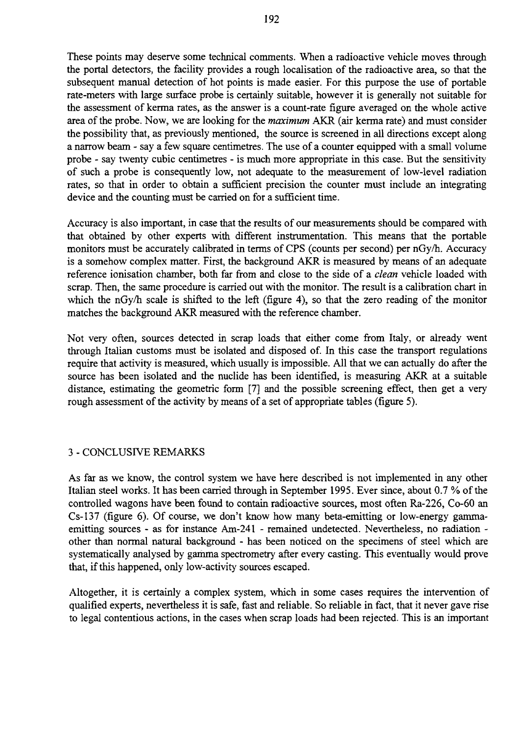These points may deserve some technical comments. When a radioactive vehicle moves through the portal detectors, the facility provides a rough localisation of the radioactive area, so that the subsequent manual detection of hot points is made easier. For this purpose the use of portable rate-meters with large surface probe is certainly suitable, however it is generally not suitable for the assessment of kerma rates, as the answer is a count-rate figure averaged on the whole active area of the probe. Now, we are looking for the *maximum* AKR (air kerma rate) and must consider the possibility that, as previously mentioned, the source is screened in all directions except along a narrow beam - say a few square centimetres. The use of a counter equipped with a small volume probe - say twenty cubic centimetres - is much more appropriate in this case. But the sensitivity of such a probe is consequently low, not adequate to the measurement of low-level radiation rates, so that in order to obtain a sufficient precision the counter must include an integrating device and the counting must be carried on for a sufficient time.

Accuracy is also important, in case that the results of our measurements should be compared with that obtained by other experts with different instrumentation. This means that the portable monitors must be accurately calibrated in terms of CPS (counts per second) per nGy/h. Accuracy is a somehow complex matter. First, the background AKR is measured by means of an adequate reference ionisation chamber, both far from and close to the side of a *clean* vehicle loaded with scrap. Then, the same procedure is carried out with the monitor. The result is a calibration chart in which the nGy/h scale is shifted to the left (figure 4), so that the zero reading of the monitor matches the background AKR measured with the reference chamber.

Not very often, sources detected in scrap loads that either come from Italy, or already went through Italian customs must be isolated and disposed of. In this case the transport regulations require that activity is measured, which usually is impossible. All that we can actually do after the source has been isolated and the nuclide has been identified, is measuring AKR at a suitable distance, estimating the geometric form [7] and the possible screening effect, then get a very rough assessment of the activity by means of a set of appropriate tables (figure 5).

## 3 - CONCLUSIVE REMARKS

As far as we know, the control system we have here described is not implemented in any other Italian steel works. It has been carried through in September 1995. Ever since, about 0.7 % of the controlled wagons have been found to contain radioactive sources, most often Ra-226, Co-60 an Cs-137 (figure 6). Of course, we don't know how many beta-emitting or low-energy gammaemitting sources - as for instance Am-241 - remained undetected. Nevertheless, no radiation other than normal natural background - has been noticed on the specimens of steel which are systematically analysed by gamma spectrometry after every casting. This eventually would prove that, if this happened, only low-activity sources escaped.

Altogether, it is certainly a complex system, which in some cases requires the intervention of qualified experts, nevertheless it is safe, fast and reliable. So reliable in fact, that it never gave rise to legal contentious actions, in the cases when scrap loads had been rejected. This is an important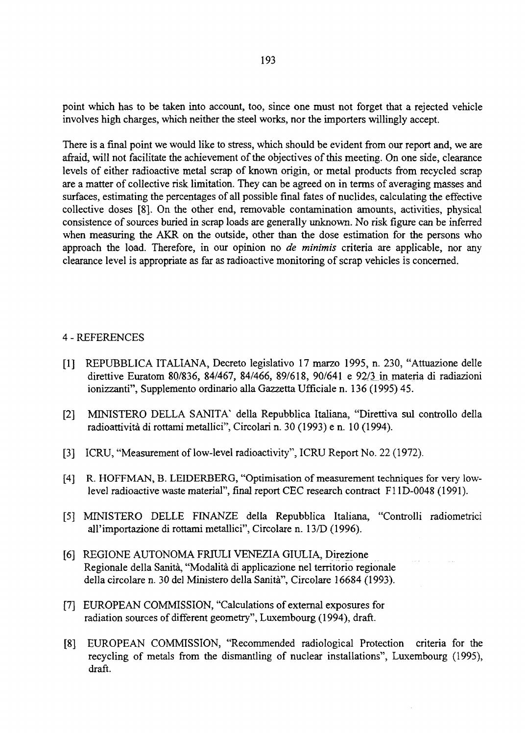point which has to be taken into account, too, since one must not forget that a rejected vehicle involves high charges, which neither the steel works, nor the importers willingly accept.

There is a final point we would like to stress, which should be evident from our report and, we are afraid, will not facilitate the achievement of the objectives of this meeting. On one side, clearance levels of either radioactive metal scrap of known origin, or metal products from recycled scrap are a matter of collective risk limitation. They can be agreed on in terms of averaging masses and surfaces, estimating the percentages of all possible final fates of nuclides, calculating the effective collective doses [8]. On the other end, removable contamination amounts, activities, physical consistence of sources buried in scrap loads are generally unknown. No risk figure can be inferred when measuring the AKR on the outside, other than the dose estimation for the persons who approach the load. Therefore, in our opinion no *de minimis* criteria are applicable, nor any clearance level is appropriate as far as radioactive monitoring of scrap vehicles is concerned.

## 4 - REFERENCES

- [1] REPUBBLICA ITALIANA, Decreto legislativo 17 marzo 1995, n. 230, "Attuazione delle direttive Euratom 80/836, 84/467, 84/466, 89/618, 90/641 e 92/3 in materia di radiazioni ionizzanti", Supplemento ordinario alia Gazzetta Ufficiale n. 136 (1995) 45.
- [2] MINISTERO DELLA SANITA' della Repubblica Italiana, "Direttiva sul controllo della radioattivita di rottami metallici", Circolari n. 30 (1993) e n. 10 (1994).
- [3] ICRU, "Measurement of low-level radioactivity", ICRU Report No. 22 (1972).
- [4] R. HOFFMAN, B. LEIDERBERG, "Optimisation of measurement techniques for very lowlevel radioactive waste material", final report CEC research contract Fl 1D-0048 (1991).
- [5] MINISTERO DELLE FINANZE della Repubblica Italiana, "Controlli radiometrici all'importazione di rottami metallici", Circolare n. 13/D (1996).
- [6] REGIONE AUTONOMA FRIULI VENEZIA GIULIA, Direzione Regionale della Sanita, "Modalita di applicazione nel territorio regionale della circolare n. 30 del Ministero della Sanita", Circolare 16684 (1993).
- [7] EUROPEAN COMMISSION, "Calculations of external exposures for radiation sources of different geometry", Luxembourg (1994), draft.
- [8] EUROPEAN COMMISSION, "Recommended radiological Protection criteria for the recycling of metals from the dismantling of nuclear installations", Luxembourg (1995), draft.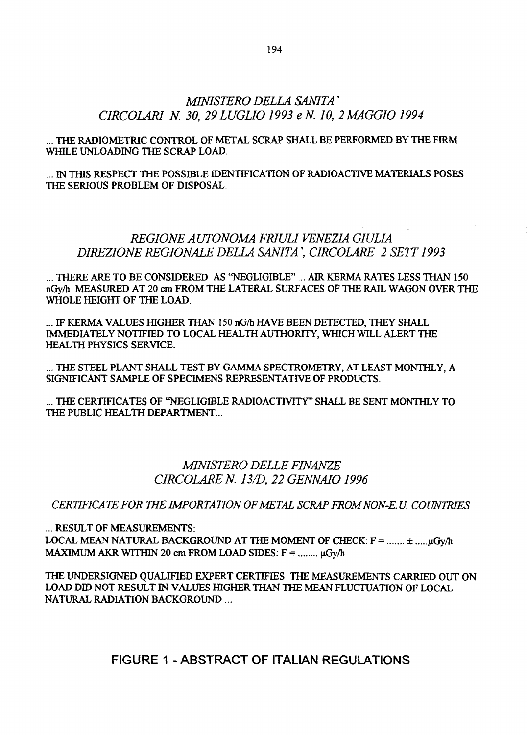# *MINISTERO DELIA SANITA*' *CIRCOLARI N. 30, 29 LUGL1O 1993 eN. 10, 2MAGGIO 1994*

*...* THE RADIOMETRIC CONTROL OF METAL SCRAP SHALL BE PERFORMED BY THE FIRM WHILE UNLOADING THE SCRAP LOAD.

... IN THIS RESPECT THE POSSIBLE IDENTIFICATION OF RADIOACTIVE MATERIALS POSES THE SERIOUS PROBLEM OF DISPOSAL.

# *REGIONE AUTONOMA FRIULI VENEZIA G1UL1A DIREZIONE REGIONALE BELLA SANITA \ CIRCOLARE 2 SETT 1993*

... THERE ARE TO BE CONSIDERED AS "NEGLIGIBLE" ... AIR KERMA RATES LESS THAN 150 nGy/h MEASURED AT 20 cm FROM THE LATERAL SURFACES OF THE RAIL WAGON OVER THE WHOLE HEIGHT OF THE LOAD.

... IF KERMA VALUES HIGHER THAN 150 nG/h HAVE BEEN DETECTED, THEY SHALL IMMEDIATELY NOTIFIED TO LOCAL HEALTH AUTHORITY, WHICH WILL ALERT THE HEALTH PHYSICS SERVICE.

... THE STEEL PLANT SHALL TEST BY GAMMA SPECTROMETRY, AT LEAST MONTHLY, A SIGNIFICANT SAMPLE OF SPECIMENS REPRESENTATIVE OF PRODUCTS.

... THE CERTIFICATES OF "NEGLIGIBLE RADIOACTIVITY" SHALL BE SENT MONTHLY TO THE PUBLIC HEALTH DEPARTMENT...

# *MINISTERO DELLE FINANZE CIRCOLARE N. 13/D, 22 GENNAIO 1996*

*CERTIFICATE FOR THE IMPORTATIONOFMETAL SCRAP FROMNON-E.U. COUNTRIES*

*...* RESULT OF MEASUREMENTS:

LOCAL MEAN NATURAL BACKGROUND AT THE MOMENT OF CHECK:  $F =$  .......  $\pm$  .....  $\mu$ Gy/h MAXIMUM AKR WITHIN 20 cm FROM LOAD SIDES:  $F =$  ........  $\mu G_V/h$ 

THE UNDERSIGNED QUALIFIED EXPERT CERTIFIES THE MEASUREMENTS CARRIED OUT ON LOAD DID NOT RESULT IN VALUES HIGHER THAN THE MEAN FLUCTUATION OF LOCAL NATURAL RADIATION BACKGROUND...

**FIGURE 1 - ABSTRACT OF ITALIAN REGULATIONS**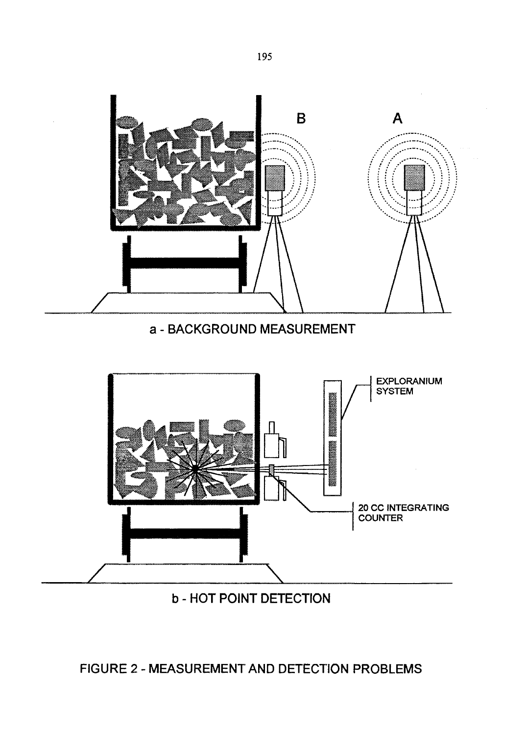



# **b - HOT POINT DETECTION**

# **FIGURE 2 - MEASUREMENT AND DETECTION PROBLEMS**

195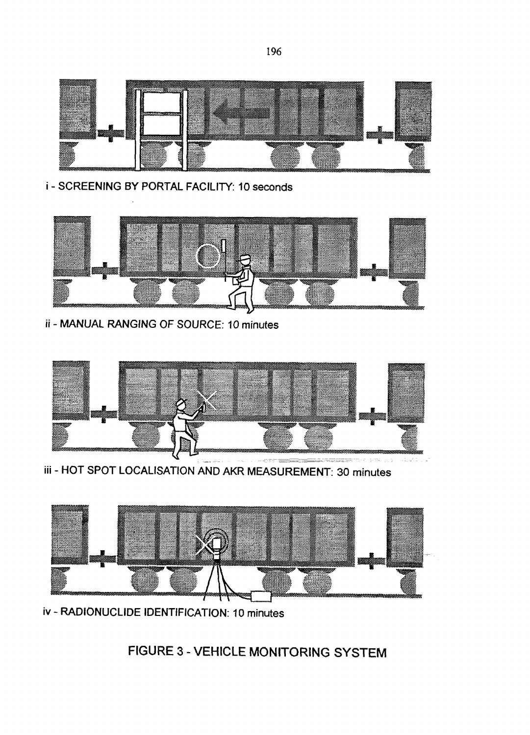

i - SCREENING BY PORTAL FACILITY: 10 seconds



ii - MANUAL RANGING OF SOURCE: 10 minutes



iii - HOT SPOT LOCALISATION AND AKR MEASUREMENT: 30 minutes



iv - RADIONUCLIDE IDENTIFICATION: 10 minutes

**FIGURE 3 - VEHICLE MONITORING SYSTEM**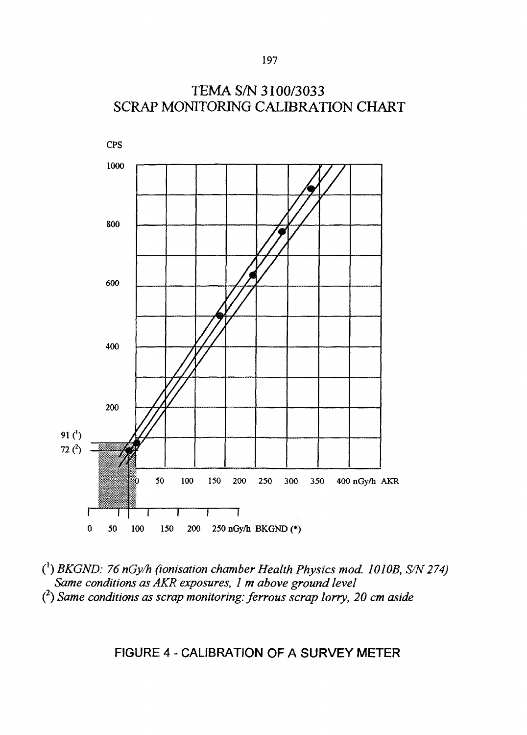

C 1 ) *BKGND: 76 nGy/h (ionisation chamber Health Physics mod. 1010B, S/N 274) Same conditions as AKR exposures, 1 m above ground level* ( 2 ) *Same conditions as scrap monitoring: ferrous scrap lorry, 20 cm aside*

**FIGURE 4 - CALIBRATION OF A SURVEY METER**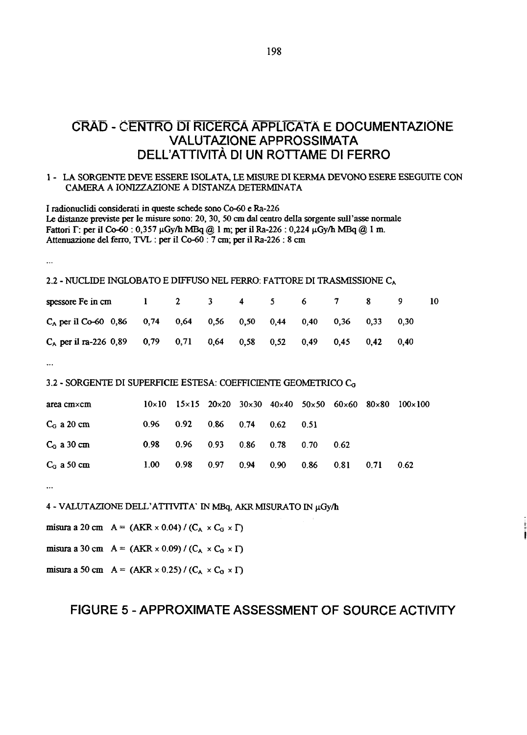# **CRÀD - CENTRO DI RICÉRCA APPLICATA E DOCUMENTAZIONE VALUTAZIONE APPROSSIMATA DELL'ATTIVITÀ DI UN ROTTAME DI FERRO**

#### 1 - LA SORGENTE DEVE ESSERE ISOLATA, LE MISURE DI KERMA DEVONO ESERE ESEGUITE CON CAMERA A IONIZZAZIONE A DISTANZA DETERMINATA

I radionuclidi considerati in queste schede sono Co-60 e Ra-226 Le distanze previste per le misure sono: 20, 30, 50 cm dal centro della sorgente sull'asse normale Fattori  $\Gamma$ : per il Co-60 : 0,357 µGy/h MBq @ 1 m; per il Ra-226 : 0,224 µGy/h MBq @ 1 m. Attenuazione del ferro, TVL : per il Co-60 : 7 cm; per il Ra-226 : 8 cm

...

### 2.2 - NUCLIDE INGLOBATO E DIFFUSO NEL FERRO: FATTORE DI TRASMISSIONE C<sup>A</sup>

| spessore Fe in cm $1 \t 2 \t 3 \t 4 \t 5 \t 6 \t 7 \t 8 \t 9$        |  |  |  |  |      |  |
|----------------------------------------------------------------------|--|--|--|--|------|--|
| $C_A$ per il Co-60 0,86 0,74 0,64 0,56 0,50 0,44 0,40 0,36 0,33 0,30 |  |  |  |  |      |  |
| $C_A$ per il ra-226 0,89 0,79 0,71 0,64 0,58 0,52 0,49 0,45 0,42     |  |  |  |  | 0.40 |  |

 $\ddotsc$ 

#### 3.2 - SORGENTE DI SUPERFICIE ESTESA: COEFFICIENTE GEOMETRICO C<sub>G</sub>

| area cm×cm    |                   |                             |      |             |      |      |      |      | $10\times10$ $15\times15$ $20\times20$ $30\times30$ $40\times40$ $50\times50$ $60\times60$ $80\times80$ $100\times100$ |
|---------------|-------------------|-----------------------------|------|-------------|------|------|------|------|------------------------------------------------------------------------------------------------------------------------|
| $C_G$ a 20 cm |                   | $0.96$ $0.92$ $0.86$ $0.74$ |      |             | 0.62 | 0.51 |      |      |                                                                                                                        |
| $C_G$ a 30 cm |                   | $0.98$ 0.96 0.93            |      | $0.86$ 0.78 |      | 0.70 | 0.62 |      |                                                                                                                        |
| $C_G$ a 50 cm | 1.00 <sub>1</sub> | 0.98                        | 0.97 | 0.94        | 0.90 | 0.86 | 0.81 | 0.71 | 0.62                                                                                                                   |

 $\ddotsc$ 

4 - VALUTAZIONE DELL'ATTIVITA' IN MBq, AKR MISURATO IN µGy/h

misura a 20 cm  $A = (AKR \times 0.04) / (C_A \times C_G \times \Gamma)$ 

misura a 30 cm  $A = (AKR \times 0.09) / (C_A \times C_0 \times \Gamma)$ 

misura a 50 cm  $A = (AKR \times 0.25) / (C_A \times C_0 \times \Gamma)$ 

## **FIGURE 5 - APPROXIMATE ASSESSMENT OF SOURCE ACTIVITY**